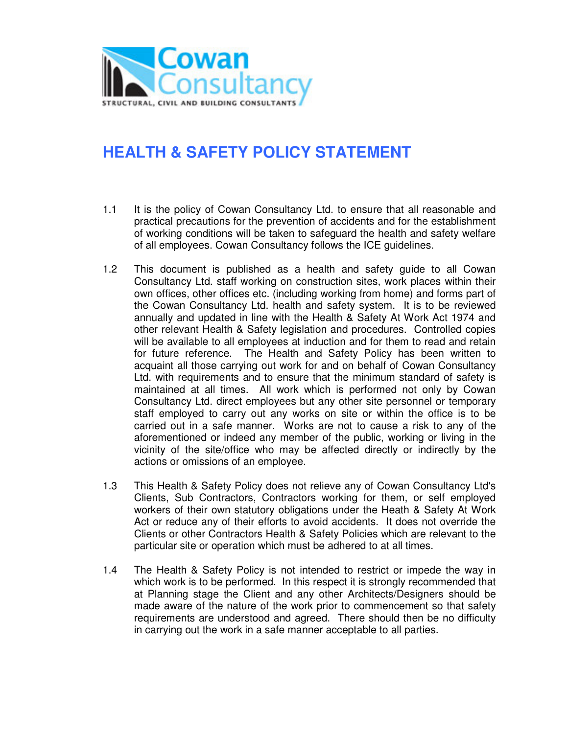

## **HEALTH & SAFETY POLICY STATEMENT**

- 1.1 It is the policy of Cowan Consultancy Ltd. to ensure that all reasonable and practical precautions for the prevention of accidents and for the establishment of working conditions will be taken to safeguard the health and safety welfare of all employees. Cowan Consultancy follows the ICE guidelines.
- 1.2 This document is published as a health and safety guide to all Cowan Consultancy Ltd. staff working on construction sites, work places within their own offices, other offices etc. (including working from home) and forms part of the Cowan Consultancy Ltd. health and safety system. It is to be reviewed annually and updated in line with the Health & Safety At Work Act 1974 and other relevant Health & Safety legislation and procedures. Controlled copies will be available to all employees at induction and for them to read and retain for future reference. The Health and Safety Policy has been written to acquaint all those carrying out work for and on behalf of Cowan Consultancy Ltd. with requirements and to ensure that the minimum standard of safety is maintained at all times. All work which is performed not only by Cowan Consultancy Ltd. direct employees but any other site personnel or temporary staff employed to carry out any works on site or within the office is to be carried out in a safe manner. Works are not to cause a risk to any of the aforementioned or indeed any member of the public, working or living in the vicinity of the site/office who may be affected directly or indirectly by the actions or omissions of an employee.
- 1.3 This Health & Safety Policy does not relieve any of Cowan Consultancy Ltd's Clients, Sub Contractors, Contractors working for them, or self employed workers of their own statutory obligations under the Heath & Safety At Work Act or reduce any of their efforts to avoid accidents. It does not override the Clients or other Contractors Health & Safety Policies which are relevant to the particular site or operation which must be adhered to at all times.
- 1.4 The Health & Safety Policy is not intended to restrict or impede the way in which work is to be performed. In this respect it is strongly recommended that at Planning stage the Client and any other Architects/Designers should be made aware of the nature of the work prior to commencement so that safety requirements are understood and agreed. There should then be no difficulty in carrying out the work in a safe manner acceptable to all parties.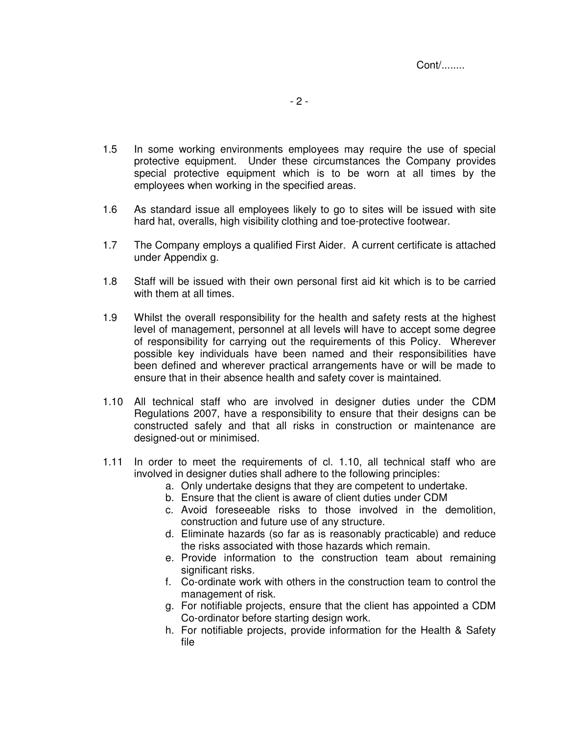Cont/........

- 1.5 In some working environments employees may require the use of special protective equipment. Under these circumstances the Company provides special protective equipment which is to be worn at all times by the employees when working in the specified areas.
- 1.6 As standard issue all employees likely to go to sites will be issued with site hard hat, overalls, high visibility clothing and toe-protective footwear.
- 1.7 The Company employs a qualified First Aider. A current certificate is attached under Appendix g.
- 1.8 Staff will be issued with their own personal first aid kit which is to be carried with them at all times.
- 1.9 Whilst the overall responsibility for the health and safety rests at the highest level of management, personnel at all levels will have to accept some degree of responsibility for carrying out the requirements of this Policy. Wherever possible key individuals have been named and their responsibilities have been defined and wherever practical arrangements have or will be made to ensure that in their absence health and safety cover is maintained.
- 1.10 All technical staff who are involved in designer duties under the CDM Regulations 2007, have a responsibility to ensure that their designs can be constructed safely and that all risks in construction or maintenance are designed-out or minimised.
- 1.11 In order to meet the requirements of cl. 1.10, all technical staff who are involved in designer duties shall adhere to the following principles:
	- a. Only undertake designs that they are competent to undertake.
	- b. Ensure that the client is aware of client duties under CDM
	- c. Avoid foreseeable risks to those involved in the demolition, construction and future use of any structure.
	- d. Eliminate hazards (so far as is reasonably practicable) and reduce the risks associated with those hazards which remain.
	- e. Provide information to the construction team about remaining significant risks.
	- f. Co-ordinate work with others in the construction team to control the management of risk.
	- g. For notifiable projects, ensure that the client has appointed a CDM Co-ordinator before starting design work.
	- h. For notifiable projects, provide information for the Health & Safety file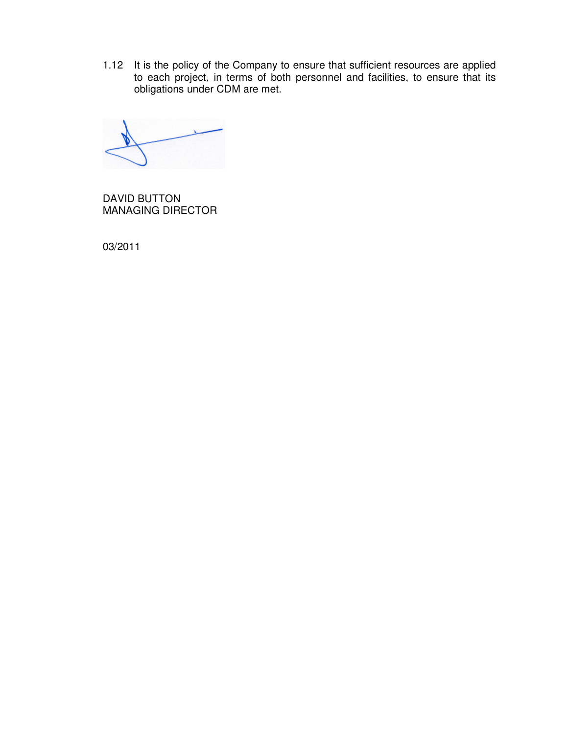1.12 It is the policy of the Company to ensure that sufficient resources are applied to each project, in terms of both personnel and facilities, to ensure that its obligations under CDM are met.

DAVID BUTTON MANAGING DIRECTOR

03/2011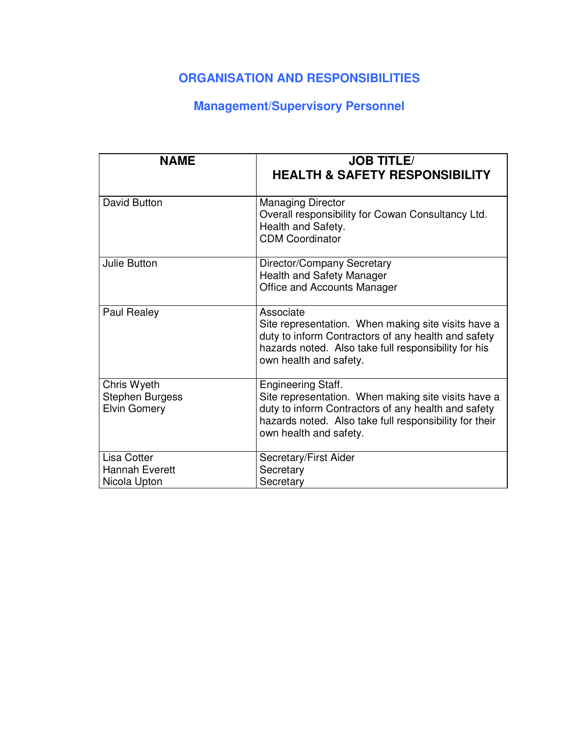## **ORGANISATION AND RESPONSIBILITIES**

## **Management/Supervisory Personnel**

| <b>NAME</b>                                                 | <b>JOB TITLE/</b><br><b>HEALTH &amp; SAFETY RESPONSIBILITY</b>                                                                                                                                                              |
|-------------------------------------------------------------|-----------------------------------------------------------------------------------------------------------------------------------------------------------------------------------------------------------------------------|
| David Button                                                | <b>Managing Director</b><br>Overall responsibility for Cowan Consultancy Ltd.<br>Health and Safety.<br><b>CDM Coordinator</b>                                                                                               |
| <b>Julie Button</b>                                         | Director/Company Secretary<br><b>Health and Safety Manager</b><br>Office and Accounts Manager                                                                                                                               |
| Paul Realey                                                 | Associate<br>Site representation. When making site visits have a<br>duty to inform Contractors of any health and safety<br>hazards noted. Also take full responsibility for his<br>own health and safety.                   |
| Chris Wyeth<br>Stephen Burgess<br><b>Elvin Gomery</b>       | <b>Engineering Staff.</b><br>Site representation. When making site visits have a<br>duty to inform Contractors of any health and safety<br>hazards noted. Also take full responsibility for their<br>own health and safety. |
| <b>Lisa Cotter</b><br><b>Hannah Everett</b><br>Nicola Upton | Secretary/First Aider<br>Secretary<br>Secretary                                                                                                                                                                             |